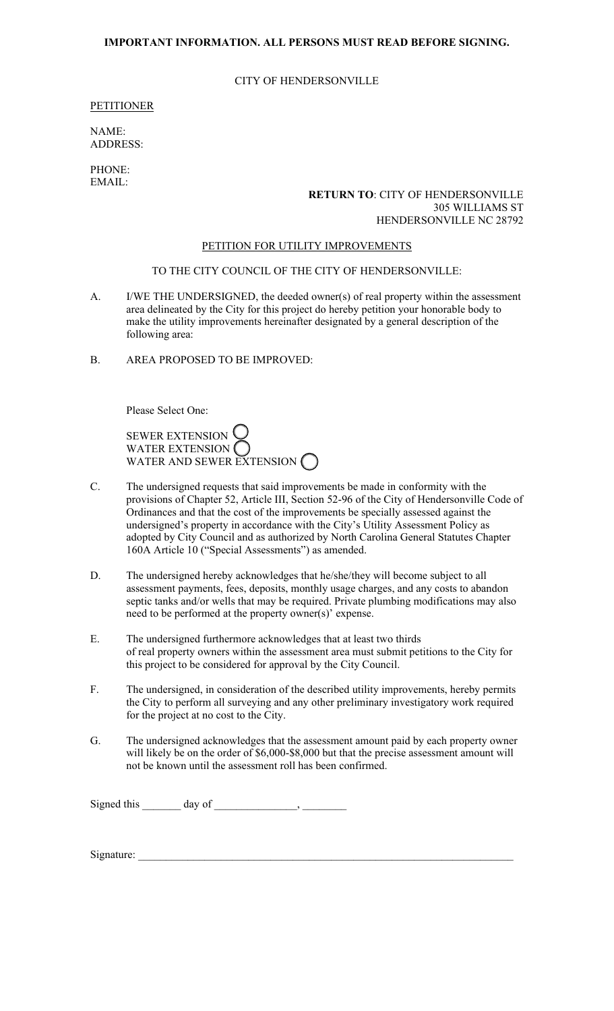# **IMPORTANT INFORMATION. ALL PERSONS MUST READ BEFORE SIGNING.**

### CITY OF HENDERSONVILLE

### PETITIONER

NAME: ADDRESS:

PHONE: EMAIL:

### **RETURN TO**: CITY OF HENDERSONVILLE 305 WILLIAMS ST HENDERSONVILLE NC 28792

#### PETITION FOR UTILITY IMPROVEMENTS

## TO THE CITY COUNCIL OF THE CITY OF HENDERSONVILLE:

- A. I/WE THE UNDERSIGNED, the deeded owner(s) of real property within the assessment area delineated by the City for this project do hereby petition your honorable body to make the utility improvements hereinafter designated by a general description of the following area:
- B. AREA PROPOSED TO BE IMPROVED:

Please Select One:

SEWER EXTENSION WATER EXTENSION WATER AND SEWER EXTENSION

- C. The undersigned requests that said improvements be made in conformity with the provisions of Chapter 52, Article III, Section 52-96 of the City of Hendersonville Code of Ordinances and that the cost of the improvements be specially assessed against the undersigned's property in accordance with the City's Utility Assessment Policy as adopted by City Council and as authorized by North Carolina General Statutes Chapter 160A Article 10 ("Special Assessments") as amended.
- D. The undersigned hereby acknowledges that he/she/they will become subject to all assessment payments, fees, deposits, monthly usage charges, and any costs to abandon septic tanks and/or wells that may be required. Private plumbing modifications may also need to be performed at the property owner(s)' expense.
- E. The undersigned furthermore acknowledges that at least two thirds of real property owners within the assessment area must submit petitions to the City for this project to be considered for approval by the City Council.
- F. The undersigned, in consideration of the described utility improvements, hereby permits the City to perform all surveying and any other preliminary investigatory work required for the project at no cost to the City.
- G. The undersigned acknowledges that the assessment amount paid by each property owner will likely be on the order of \$6,000-\$8,000 but that the precise assessment amount will not be known until the assessment roll has been confirmed.

Signed this  $\_\_\_\_\_\_\$  day of  $\_\_\_\_\_\_\_\_\$ 

Signature: